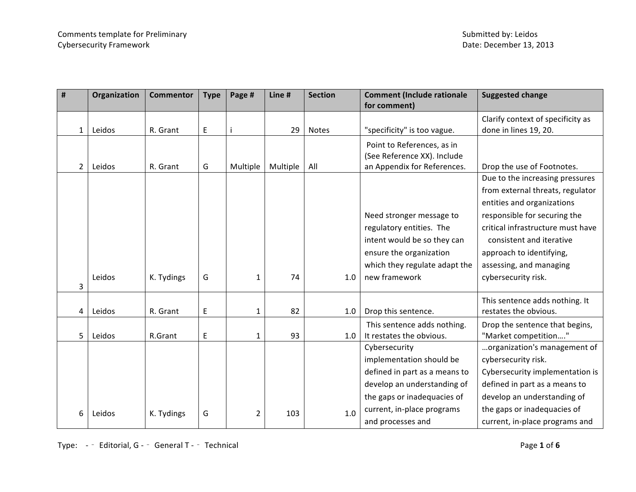| #              | Organization | <b>Commentor</b> | <b>Type</b> | Page #   | Line #   | <b>Section</b> | <b>Comment (Include rationale</b> | <b>Suggested change</b>           |
|----------------|--------------|------------------|-------------|----------|----------|----------------|-----------------------------------|-----------------------------------|
|                |              |                  |             |          |          |                | for comment)                      |                                   |
|                |              |                  |             |          |          |                |                                   | Clarify context of specificity as |
| $\mathbf{1}$   | Leidos       | R. Grant         | E           |          | 29       | <b>Notes</b>   | "specificity" is too vague.       | done in lines 19, 20.             |
|                |              |                  |             |          |          |                | Point to References, as in        |                                   |
|                |              |                  |             |          |          |                | (See Reference XX). Include       |                                   |
| $\overline{2}$ | Leidos       | R. Grant         | G           | Multiple | Multiple | All            | an Appendix for References.       | Drop the use of Footnotes.        |
|                |              |                  |             |          |          |                |                                   | Due to the increasing pressures   |
|                |              |                  |             |          |          |                |                                   | from external threats, regulator  |
|                |              |                  |             |          |          |                |                                   | entities and organizations        |
|                |              |                  |             |          |          |                | Need stronger message to          | responsible for securing the      |
|                |              |                  |             |          |          |                | regulatory entities. The          | critical infrastructure must have |
|                |              |                  |             |          |          |                | intent would be so they can       | consistent and iterative          |
|                |              |                  |             |          |          |                | ensure the organization           | approach to identifying,          |
|                |              |                  |             |          |          |                | which they regulate adapt the     | assessing, and managing           |
|                | Leidos       | K. Tydings       | G           | 1        | 74       | 1.0            | new framework                     | cybersecurity risk.               |
| 3              |              |                  |             |          |          |                |                                   |                                   |
|                |              |                  |             |          |          |                |                                   | This sentence adds nothing. It    |
| 4              | Leidos       | R. Grant         | E           | 1        | 82       | 1.0            | Drop this sentence.               | restates the obvious.             |
|                |              |                  |             |          |          |                | This sentence adds nothing.       | Drop the sentence that begins,    |
| 5              | Leidos       | R.Grant          | E           | 1        | 93       | 1.0            | It restates the obvious.          | "Market competition"              |
|                |              |                  |             |          |          |                | Cybersecurity                     | organization's management of      |
|                |              |                  |             |          |          |                | implementation should be          | cybersecurity risk.               |
|                |              |                  |             |          |          |                | defined in part as a means to     | Cybersecurity implementation is   |
|                |              |                  |             |          |          |                | develop an understanding of       | defined in part as a means to     |
|                |              |                  |             |          |          |                | the gaps or inadequacies of       | develop an understanding of       |
| 6              | Leidos       | K. Tydings       | G           | 2        | 103      | 1.0            | current, in-place programs        | the gaps or inadequacies of       |
|                |              |                  |             |          |          |                | and processes and                 | current, in-place programs and    |

Type:  $-$  Editorial, G -  $-$  General T -  $-$  Technical **Page 1** of 6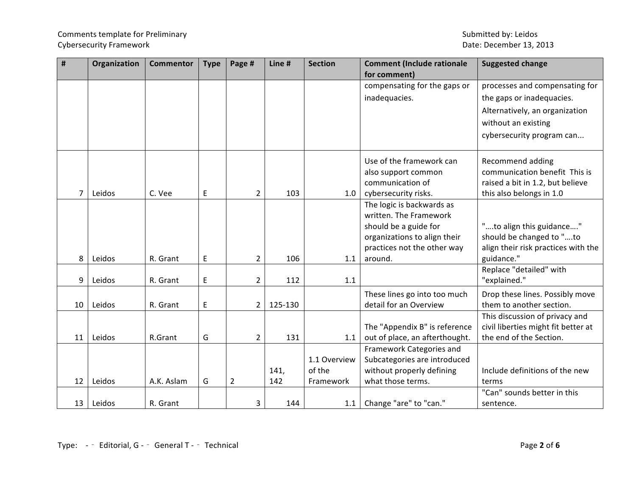# Comments template for Preliminary and the state of the state of the Submitted by: Leidos Cybersecurity Framework **Date: December 13, 2013**

| $\pmb{\sharp}$ | Organization | <b>Commentor</b> | <b>Type</b> | Page #         | Line #      | <b>Section</b>                      | <b>Comment (Include rationale</b><br>for comment)                                                                                                      | <b>Suggested change</b>                                                                                                                           |
|----------------|--------------|------------------|-------------|----------------|-------------|-------------------------------------|--------------------------------------------------------------------------------------------------------------------------------------------------------|---------------------------------------------------------------------------------------------------------------------------------------------------|
|                |              |                  |             |                |             |                                     | compensating for the gaps or<br>inadequacies.                                                                                                          | processes and compensating for<br>the gaps or inadequacies.<br>Alternatively, an organization<br>without an existing<br>cybersecurity program can |
| 7              | Leidos       | C. Vee           | E           | $\overline{2}$ | 103         | 1.0                                 | Use of the framework can<br>also support common<br>communication of<br>cybersecurity risks.                                                            | Recommend adding<br>communication benefit This is<br>raised a bit in 1.2, but believe<br>this also belongs in 1.0                                 |
| 8              | Leidos       | R. Grant         | E           | $\overline{2}$ | 106         | 1.1                                 | The logic is backwards as<br>written. The Framework<br>should be a guide for<br>organizations to align their<br>practices not the other way<br>around. | "to align this guidance"<br>should be changed to "to<br>align their risk practices with the<br>guidance."                                         |
| 9              | Leidos       | R. Grant         | E           | $\overline{2}$ | 112         | 1.1                                 |                                                                                                                                                        | Replace "detailed" with<br>"explained."                                                                                                           |
| 10             | Leidos       | R. Grant         | E           | $\overline{2}$ | 125-130     |                                     | These lines go into too much<br>detail for an Overview                                                                                                 | Drop these lines. Possibly move<br>them to another section.                                                                                       |
| 11             | Leidos       | R.Grant          | G           | $\overline{2}$ | 131         | 1.1                                 | The "Appendix B" is reference<br>out of place, an afterthought.                                                                                        | This discussion of privacy and<br>civil liberties might fit better at<br>the end of the Section.                                                  |
| 12             | Leidos       | A.K. Aslam       | G           | $\overline{2}$ | 141,<br>142 | 1.1 Overview<br>of the<br>Framework | Framework Categories and<br>Subcategories are introduced<br>without properly defining<br>what those terms.                                             | Include definitions of the new<br>terms                                                                                                           |
| 13             | Leidos       | R. Grant         |             | 3              | 144         | 1.1                                 | Change "are" to "can."                                                                                                                                 | "Can" sounds better in this<br>sentence.                                                                                                          |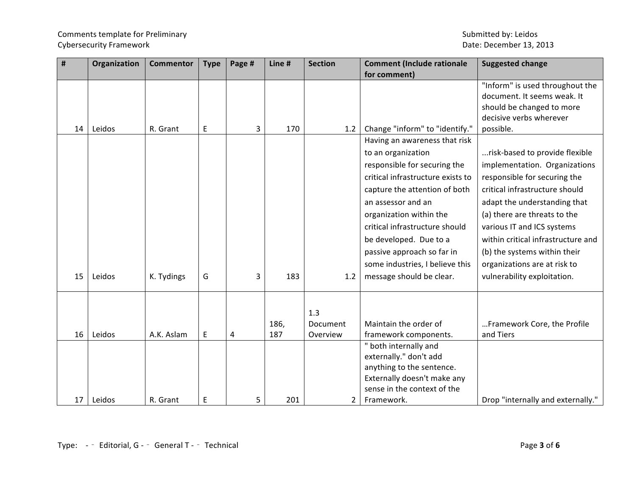# Comments template for Preliminary and the comments of the Submitted by: Leidos Cybersecurity Framework **Date: December 13, 2013**

| #  | Organization | <b>Commentor</b> | <b>Type</b> | Page # | Line # | <b>Section</b> | <b>Comment (Include rationale</b> | <b>Suggested change</b>            |
|----|--------------|------------------|-------------|--------|--------|----------------|-----------------------------------|------------------------------------|
|    |              |                  |             |        |        |                | for comment)                      |                                    |
|    |              |                  |             |        |        |                |                                   | "Inform" is used throughout the    |
|    |              |                  |             |        |        |                |                                   | document. It seems weak. It        |
|    |              |                  |             |        |        |                |                                   | should be changed to more          |
|    |              |                  |             |        |        |                |                                   | decisive verbs wherever            |
| 14 | Leidos       | R. Grant         | E           | 3      | 170    | 1.2            | Change "inform" to "identify."    | possible.                          |
|    |              |                  |             |        |        |                | Having an awareness that risk     |                                    |
|    |              |                  |             |        |        |                | to an organization                | risk-based to provide flexible     |
|    |              |                  |             |        |        |                | responsible for securing the      | implementation. Organizations      |
|    |              |                  |             |        |        |                | critical infrastructure exists to | responsible for securing the       |
|    |              |                  |             |        |        |                | capture the attention of both     | critical infrastructure should     |
|    |              |                  |             |        |        |                | an assessor and an                | adapt the understanding that       |
|    |              |                  |             |        |        |                | organization within the           | (a) there are threats to the       |
|    |              |                  |             |        |        |                | critical infrastructure should    | various IT and ICS systems         |
|    |              |                  |             |        |        |                |                                   |                                    |
|    |              |                  |             |        |        |                | be developed. Due to a            | within critical infrastructure and |
|    |              |                  |             |        |        |                | passive approach so far in        | (b) the systems within their       |
|    |              |                  |             |        |        |                | some industries, I believe this   | organizations are at risk to       |
| 15 | Leidos       | K. Tydings       | G           | 3      | 183    | 1.2            | message should be clear.          | vulnerability exploitation.        |
|    |              |                  |             |        |        |                |                                   |                                    |
|    |              |                  |             |        |        |                |                                   |                                    |
|    |              |                  |             |        |        | 1.3            |                                   |                                    |
|    |              |                  |             |        | 186,   | Document       | Maintain the order of             | Framework Core, the Profile        |
| 16 | Leidos       | A.K. Aslam       | $\mathsf E$ | 4      | 187    | Overview       | framework components.             | and Tiers                          |
|    |              |                  |             |        |        |                | " both internally and             |                                    |
|    |              |                  |             |        |        |                | externally." don't add            |                                    |
|    |              |                  |             |        |        |                | anything to the sentence.         |                                    |
|    |              |                  |             |        |        |                | Externally doesn't make any       |                                    |
|    |              |                  |             |        |        |                | sense in the context of the       |                                    |
| 17 | Leidos       | R. Grant         | E           | 5      | 201    | $\overline{2}$ | Framework.                        | Drop "internally and externally."  |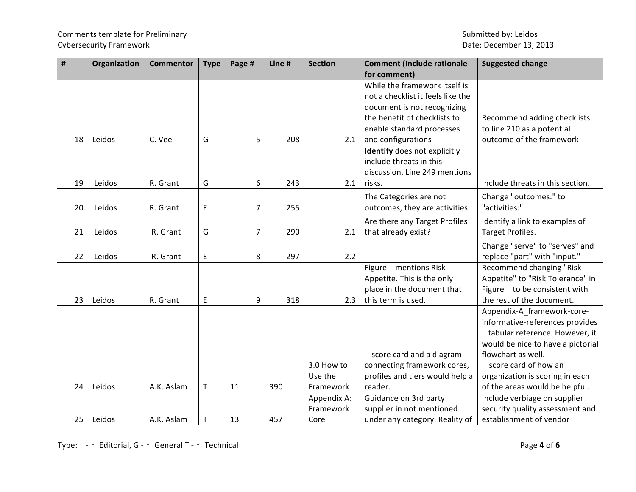# Comments template for Preliminary and the state of the state of the Submitted by: Leidos Cybersecurity Framework **Date: December 13, 2013**

| $\pmb{\sharp}$ | Organization | <b>Commentor</b> | <b>Type</b> | Page #         | Line # | <b>Section</b> | <b>Comment (Include rationale</b> | <b>Suggested change</b>           |
|----------------|--------------|------------------|-------------|----------------|--------|----------------|-----------------------------------|-----------------------------------|
|                |              |                  |             |                |        |                | for comment)                      |                                   |
|                |              |                  |             |                |        |                | While the framework itself is     |                                   |
|                |              |                  |             |                |        |                | not a checklist it feels like the |                                   |
|                |              |                  |             |                |        |                | document is not recognizing       |                                   |
|                |              |                  |             |                |        |                | the benefit of checklists to      | Recommend adding checklists       |
|                |              |                  |             |                |        |                | enable standard processes         | to line 210 as a potential        |
| 18             | Leidos       | C. Vee           | G           | 5              | 208    | 2.1            | and configurations                | outcome of the framework          |
|                |              |                  |             |                |        |                | Identify does not explicitly      |                                   |
|                |              |                  |             |                |        |                | include threats in this           |                                   |
|                |              |                  |             |                |        |                | discussion. Line 249 mentions     |                                   |
| 19             | Leidos       | R. Grant         | G           | 6              | 243    | 2.1            | risks.                            | Include threats in this section.  |
|                |              |                  |             |                |        |                | The Categories are not            | Change "outcomes:" to             |
| 20             | Leidos       | R. Grant         | E           | $\overline{7}$ | 255    |                | outcomes, they are activities.    | "activities:"                     |
|                |              |                  |             |                |        |                | Are there any Target Profiles     | Identify a link to examples of    |
| 21             | Leidos       | R. Grant         | G           | 7              | 290    | 2.1            | that already exist?               | Target Profiles.                  |
|                |              |                  |             |                |        |                |                                   | Change "serve" to "serves" and    |
| 22             | Leidos       | R. Grant         | E           | 8              | 297    | 2.2            |                                   | replace "part" with "input."      |
|                |              |                  |             |                |        |                | Figure mentions Risk              | Recommend changing "Risk          |
|                |              |                  |             |                |        |                | Appetite. This is the only        | Appetite" to "Risk Tolerance" in  |
|                |              |                  |             |                |        |                | place in the document that        | Figure to be consistent with      |
| 23             | Leidos       | R. Grant         | E           | 9              | 318    | 2.3            | this term is used.                | the rest of the document.         |
|                |              |                  |             |                |        |                |                                   | Appendix-A_framework-core-        |
|                |              |                  |             |                |        |                |                                   | informative-references provides   |
|                |              |                  |             |                |        |                |                                   | tabular reference. However, it    |
|                |              |                  |             |                |        |                |                                   | would be nice to have a pictorial |
|                |              |                  |             |                |        |                | score card and a diagram          | flowchart as well.                |
|                |              |                  |             |                |        | 3.0 How to     | connecting framework cores,       | score card of how an              |
|                |              |                  |             |                |        | Use the        | profiles and tiers would help a   | organization is scoring in each   |
| 24             | Leidos       | A.K. Aslam       | Τ           | 11             | 390    | Framework      | reader.                           | of the areas would be helpful.    |
|                |              |                  |             |                |        | Appendix A:    | Guidance on 3rd party             | Include verbiage on supplier      |
|                |              |                  |             |                |        | Framework      | supplier in not mentioned         | security quality assessment and   |
| 25             | Leidos       | A.K. Aslam       | T           | 13             | 457    | Core           | under any category. Reality of    | establishment of vendor           |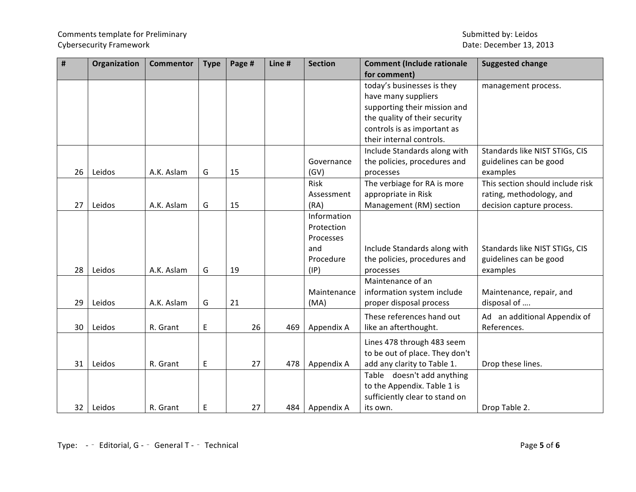# Comments template for Preliminary and the state of the state of the Submitted by: Leidos Cybersecurity Framework **Date: December 13, 2013**

| #  | Organization | <b>Commentor</b> | <b>Type</b> | Page # | Line # | <b>Section</b> | <b>Comment (Include rationale</b> | <b>Suggested change</b>          |
|----|--------------|------------------|-------------|--------|--------|----------------|-----------------------------------|----------------------------------|
|    |              |                  |             |        |        |                | for comment)                      |                                  |
|    |              |                  |             |        |        |                | today's businesses is they        | management process.              |
|    |              |                  |             |        |        |                | have many suppliers               |                                  |
|    |              |                  |             |        |        |                | supporting their mission and      |                                  |
|    |              |                  |             |        |        |                | the quality of their security     |                                  |
|    |              |                  |             |        |        |                | controls is as important as       |                                  |
|    |              |                  |             |        |        |                | their internal controls.          |                                  |
|    |              |                  |             |        |        |                | Include Standards along with      | Standards like NIST STIGs, CIS   |
|    |              |                  |             |        |        | Governance     | the policies, procedures and      | guidelines can be good           |
| 26 | Leidos       | A.K. Aslam       | G           | 15     |        | (GV)           | processes                         | examples                         |
|    |              |                  |             |        |        | <b>Risk</b>    | The verbiage for RA is more       | This section should include risk |
|    |              |                  |             |        |        | Assessment     | appropriate in Risk               | rating, methodology, and         |
| 27 | Leidos       | A.K. Aslam       | G           | 15     |        | (RA)           | Management (RM) section           | decision capture process.        |
|    |              |                  |             |        |        | Information    |                                   |                                  |
|    |              |                  |             |        |        | Protection     |                                   |                                  |
|    |              |                  |             |        |        | Processes      |                                   |                                  |
|    |              |                  |             |        |        | and            | Include Standards along with      | Standards like NIST STIGs, CIS   |
|    |              |                  |             |        |        | Procedure      | the policies, procedures and      | guidelines can be good           |
| 28 | Leidos       | A.K. Aslam       | G           | 19     |        | (IP)           | processes                         | examples                         |
|    |              |                  |             |        |        |                | Maintenance of an                 |                                  |
|    |              |                  |             |        |        | Maintenance    | information system include        | Maintenance, repair, and         |
| 29 | Leidos       | A.K. Aslam       | G           | 21     |        | (MA)           | proper disposal process           | disposal of                      |
|    |              |                  |             |        |        |                | These references hand out         | Ad an additional Appendix of     |
| 30 | Leidos       | R. Grant         | E           | 26     | 469    | Appendix A     | like an afterthought.             | References.                      |
|    |              |                  |             |        |        |                |                                   |                                  |
|    |              |                  |             |        |        |                | Lines 478 through 483 seem        |                                  |
|    |              |                  |             |        |        |                | to be out of place. They don't    |                                  |
| 31 | Leidos       | R. Grant         | E           | 27     | 478    | Appendix A     | add any clarity to Table 1.       | Drop these lines.                |
|    |              |                  |             |        |        |                | Table doesn't add anything        |                                  |
|    |              |                  |             |        |        |                | to the Appendix. Table 1 is       |                                  |
|    |              |                  |             |        |        |                | sufficiently clear to stand on    |                                  |
| 32 | Leidos       | R. Grant         | E           | 27     | 484    | Appendix A     | its own.                          | Drop Table 2.                    |